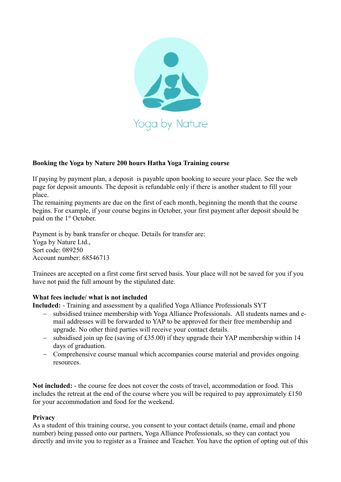

## **Booking the Yoga by Nature 200 hours Hatha Yoga Training course**

If paying by payment plan, a deposit is payable upon booking to secure your place. See the web page for deposit amounts. The deposit is refundable only if there is another student to fill your place.

The remaining payments are due on the first of each month, beginning the month that the course begins. For example, if your course begins in October, your first payment after deposit should be paid on the 1<sup>st</sup> October.

Payment is by bank transfer or cheque. Details for transfer are: Yoga by Nature Ltd., Sort code: 089250 Account number: 68546713

Trainees are accepted on a first come first served basis. Your place will not be saved for you if you have not paid the full amount by the stipulated date.

## **What fees include/ what is not included**

**Included:** - Training and assessment by a qualified Yoga Alliance Professionals SYT

- subsidised trainee membership with Yoga Alliance Professionals. All students names and email addresses will be forwarded to YAP to be approved for their free membership and upgrade. No other third parties will receive your contact details.
- $-$  subsidised join up fee (saving of £35.00) if they upgrade their YAP membership within 14 days of graduation.
- Comprehensive course manual which accompanies course material and provides ongoing resources.

**Not included:** - the course fee does not cover the costs of travel, accommodation or food. This includes the retreat at the end of the course where you will be required to pay approximately  $\pounds 150$ for your accommodation and food for the weekend.

## **Privacy**

As a student of this training course, you consent to your contact details (name, email and phone number) being passed onto our partners, Yoga Alliance Professionals, so they can contact you directly and invite you to register as a Trainee and Teacher. You have the option of opting out of this